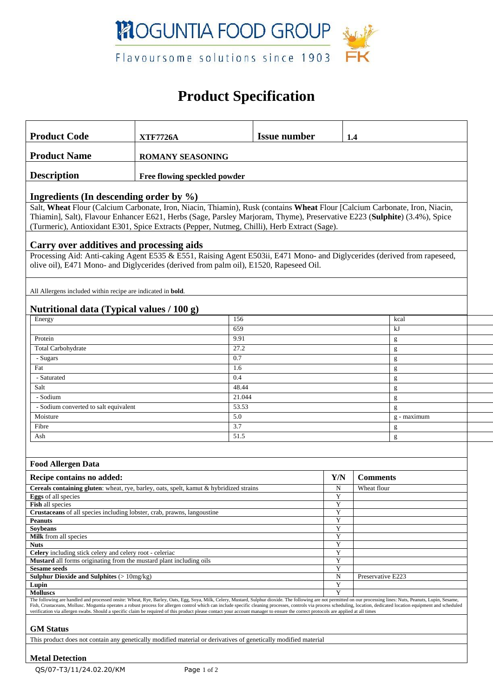

## **Product Specification**

| <b>Product Code</b>                                                                                                                                                                                                                                                                                                                                                                                           | <b>XTF7726A</b>                                                     |                 | <b>Issue number</b> |        | 1.4             |      |  |  |  |
|---------------------------------------------------------------------------------------------------------------------------------------------------------------------------------------------------------------------------------------------------------------------------------------------------------------------------------------------------------------------------------------------------------------|---------------------------------------------------------------------|-----------------|---------------------|--------|-----------------|------|--|--|--|
| <b>Product Name</b><br><b>ROMANY SEASONING</b>                                                                                                                                                                                                                                                                                                                                                                |                                                                     |                 |                     |        |                 |      |  |  |  |
| <b>Description</b>                                                                                                                                                                                                                                                                                                                                                                                            |                                                                     |                 |                     |        |                 |      |  |  |  |
| Free flowing speckled powder                                                                                                                                                                                                                                                                                                                                                                                  |                                                                     |                 |                     |        |                 |      |  |  |  |
| Ingredients (In descending order by $\%$ )                                                                                                                                                                                                                                                                                                                                                                    |                                                                     |                 |                     |        |                 |      |  |  |  |
| Salt, Wheat Flour (Calcium Carbonate, Iron, Niacin, Thiamin), Rusk (contains Wheat Flour [Calcium Carbonate, Iron, Niacin,                                                                                                                                                                                                                                                                                    |                                                                     |                 |                     |        |                 |      |  |  |  |
| Thiamin], Salt), Flavour Enhancer E621, Herbs (Sage, Parsley Marjoram, Thyme), Preservative E223 (Sulphite) (3.4%), Spice                                                                                                                                                                                                                                                                                     |                                                                     |                 |                     |        |                 |      |  |  |  |
| (Turmeric), Antioxidant E301, Spice Extracts (Pepper, Nutmeg, Chilli), Herb Extract (Sage).                                                                                                                                                                                                                                                                                                                   |                                                                     |                 |                     |        |                 |      |  |  |  |
| Carry over additives and processing aids                                                                                                                                                                                                                                                                                                                                                                      |                                                                     |                 |                     |        |                 |      |  |  |  |
| Processing Aid: Anti-caking Agent E535 & E551, Raising Agent E503ii, E471 Mono- and Diglycerides (derived from rapeseed,                                                                                                                                                                                                                                                                                      |                                                                     |                 |                     |        |                 |      |  |  |  |
| olive oil), E471 Mono- and Diglycerides (derived from palm oil), E1520, Rapeseed Oil.                                                                                                                                                                                                                                                                                                                         |                                                                     |                 |                     |        |                 |      |  |  |  |
|                                                                                                                                                                                                                                                                                                                                                                                                               |                                                                     |                 |                     |        |                 |      |  |  |  |
|                                                                                                                                                                                                                                                                                                                                                                                                               | All Allergens included within recipe are indicated in <b>bold</b> . |                 |                     |        |                 |      |  |  |  |
| Nutritional data (Typical values / 100 g)                                                                                                                                                                                                                                                                                                                                                                     |                                                                     |                 |                     |        |                 |      |  |  |  |
| Energy                                                                                                                                                                                                                                                                                                                                                                                                        |                                                                     | 156             |                     |        |                 | kcal |  |  |  |
|                                                                                                                                                                                                                                                                                                                                                                                                               |                                                                     | 659             |                     |        |                 | kJ   |  |  |  |
| Protein                                                                                                                                                                                                                                                                                                                                                                                                       |                                                                     | 9.91            |                     |        |                 | g    |  |  |  |
| Total Carbohydrate                                                                                                                                                                                                                                                                                                                                                                                            |                                                                     | 27.2            |                     |        |                 | g    |  |  |  |
| - Sugars                                                                                                                                                                                                                                                                                                                                                                                                      |                                                                     | 0.7             |                     |        |                 | g    |  |  |  |
| Fat                                                                                                                                                                                                                                                                                                                                                                                                           |                                                                     | 1.6             |                     |        |                 | g    |  |  |  |
| - Saturated                                                                                                                                                                                                                                                                                                                                                                                                   |                                                                     | 0.4             |                     |        |                 | g    |  |  |  |
| Salt                                                                                                                                                                                                                                                                                                                                                                                                          |                                                                     | 48.44<br>21.044 |                     |        |                 | g    |  |  |  |
| - Sodium                                                                                                                                                                                                                                                                                                                                                                                                      |                                                                     |                 |                     | g      |                 |      |  |  |  |
| - Sodium converted to salt equivalent                                                                                                                                                                                                                                                                                                                                                                         |                                                                     |                 | 53.53<br>g<br>5.0   |        |                 |      |  |  |  |
| Moisture                                                                                                                                                                                                                                                                                                                                                                                                      |                                                                     |                 |                     |        | $g$ - maximum   |      |  |  |  |
| Fibre                                                                                                                                                                                                                                                                                                                                                                                                         |                                                                     |                 |                     |        | g               |      |  |  |  |
| 51.5<br>Ash<br>g                                                                                                                                                                                                                                                                                                                                                                                              |                                                                     |                 |                     |        |                 |      |  |  |  |
|                                                                                                                                                                                                                                                                                                                                                                                                               |                                                                     |                 |                     |        |                 |      |  |  |  |
| <b>Food Allergen Data</b>                                                                                                                                                                                                                                                                                                                                                                                     |                                                                     |                 |                     |        |                 |      |  |  |  |
| Recipe contains no added:                                                                                                                                                                                                                                                                                                                                                                                     |                                                                     |                 |                     | Y/N    | <b>Comments</b> |      |  |  |  |
| Cereals containing gluten: wheat, rye, barley, oats, spelt, kamut & hybridized strains                                                                                                                                                                                                                                                                                                                        |                                                                     |                 |                     | N      | Wheat flour     |      |  |  |  |
| Eggs of all species                                                                                                                                                                                                                                                                                                                                                                                           |                                                                     |                 |                     | Y      |                 |      |  |  |  |
| <b>Fish all species</b><br>Crustaceans of all species including lobster, crab, prawns, langoustine                                                                                                                                                                                                                                                                                                            |                                                                     |                 |                     | Y<br>Y |                 |      |  |  |  |
| <b>Peanuts</b>                                                                                                                                                                                                                                                                                                                                                                                                |                                                                     |                 |                     | Y      |                 |      |  |  |  |
| <b>Soybeans</b>                                                                                                                                                                                                                                                                                                                                                                                               |                                                                     |                 |                     | Y      |                 |      |  |  |  |
| Milk from all species<br><b>Nuts</b>                                                                                                                                                                                                                                                                                                                                                                          |                                                                     |                 |                     | Y<br>Y |                 |      |  |  |  |
| Celery including stick celery and celery root - celeriac                                                                                                                                                                                                                                                                                                                                                      |                                                                     |                 |                     | Y      |                 |      |  |  |  |
| <b>Mustard</b> all forms originating from the mustard plant including oils                                                                                                                                                                                                                                                                                                                                    |                                                                     |                 |                     | Y      |                 |      |  |  |  |
| <b>Sesame seeds</b><br><b>Sulphur Dioxide and Sulphites (&gt; <math>10mg/kg</math>)</b>                                                                                                                                                                                                                                                                                                                       |                                                                     | Y<br>N          | Preservative E223   |        |                 |      |  |  |  |
| Lupin                                                                                                                                                                                                                                                                                                                                                                                                         |                                                                     |                 |                     | Y      |                 |      |  |  |  |
| <b>Molluscs</b><br>The following are handled and processed onsite: Wheat, Rye, Barley, Oats, Egg, Soya, Milk, Celery, Mustard, Sulphur dioxide. The following are not permitted on our processing lines: Nuts, Peanuts, Lupin, Sesame,                                                                                                                                                                        |                                                                     |                 |                     |        |                 |      |  |  |  |
| Fish, Crustaceans, Mollusc. Moguntia operates a robust process for allergen control which can include specific cleaning processes, controls via process scheduling, location, dedicated location equipment and scheduled<br>verification via allergen swabs. Should a specific claim be required of this product please contact your account manager to ensure the correct protocols are applied at all times |                                                                     |                 |                     |        |                 |      |  |  |  |
| <b>GM</b> Status                                                                                                                                                                                                                                                                                                                                                                                              |                                                                     |                 |                     |        |                 |      |  |  |  |
| This product does not contain any genetically modified material or derivatives of genetically modified material                                                                                                                                                                                                                                                                                               |                                                                     |                 |                     |        |                 |      |  |  |  |
| <b>Metal Detection</b>                                                                                                                                                                                                                                                                                                                                                                                        |                                                                     |                 |                     |        |                 |      |  |  |  |

### QS/07-T3/11/24.02.20/KM Page 1 of 2